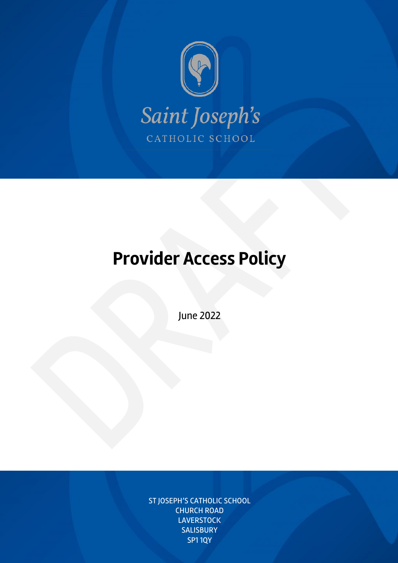

# **Provider Access Policy**

June 2022

ST JOSEPH'S CATHOLIC SCHOOL CHURCH ROAD **LAVERSTOCK SALISBURY** SP1 1QY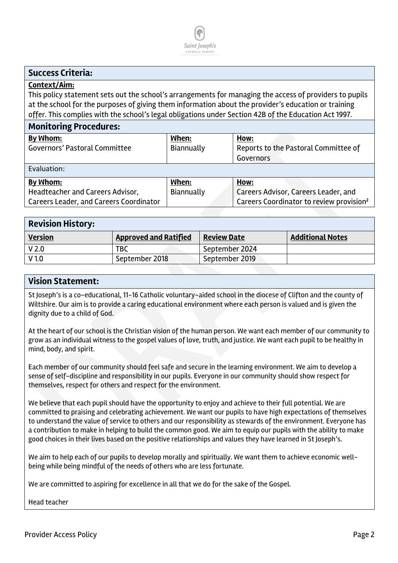

### **Success Criteria:**

#### **Context/Aim:**

This policy statement sets out the school's arrangements for managing the access of providers to pupils at the school for the purposes of giving them information about the provider's education or training offer. This complies with the school's legal obligations under Section 42B of the Education Act 1997.

#### **Monitoring Procedures:**

| <u>MUNICULINE I TUCCUULCS.</u>          |            |                                                      |  |  |  |
|-----------------------------------------|------------|------------------------------------------------------|--|--|--|
| By Whom:                                | When:      | How:                                                 |  |  |  |
| Governors' Pastoral Committee           | Biannually | Reports to the Pastoral Committee of                 |  |  |  |
|                                         |            | Governors                                            |  |  |  |
| Evaluation:                             |            |                                                      |  |  |  |
| By Whom:                                | When:      | How:                                                 |  |  |  |
| Headteacher and Careers Advisor,        | Biannually | Careers Advisor, Careers Leader, and                 |  |  |  |
| Careers Leader, and Careers Coordinator |            | Careers Coordinator to review provision <sup>2</sup> |  |  |  |
|                                         |            |                                                      |  |  |  |

| <b>Revision History:</b> |                              |                    |                         |  |  |
|--------------------------|------------------------------|--------------------|-------------------------|--|--|
| <b>Version</b>           | <b>Approved and Ratified</b> | <b>Review Date</b> | <b>Additional Notes</b> |  |  |
| V <sub>2.0</sub>         | TBC                          | September 2024     |                         |  |  |
| V <sub>1.0</sub>         | September 2018               | September 2019     |                         |  |  |

#### **Vision Statement:**

St Joseph's is a co-educational, 11-16 Catholic voluntary-aided school in the diocese of Clifton and the county of Wiltshire. Our aim is to provide a caring educational environment where each person is valued and is given the dignity due to a child of God.

At the heart of our school is the Christian vision of the human person. We want each member of our community to grow as an individual witness to the gospel values of love, truth, and justice. We want each pupil to be healthy in mind, body, and spirit.

Each member of our community should feel safe and secure in the learning environment. We aim to develop a sense of self-discipline and responsibility in our pupils. Everyone in our community should show respect for themselves, respect for others and respect for the environment.

We believe that each pupil should have the opportunity to enjoy and achieve to their full potential. We are committed to praising and celebrating achievement. We want our pupils to have high expectations of themselves to understand the value of service to others and our responsibility as stewards of the environment. Everyone has a contribution to make in helping to build the common good. We aim to equip our pupils with the ability to make good choices in their lives based on the positive relationships and values they have learned in St Joseph's.

We aim to help each of our pupils to develop morally and spiritually. We want them to achieve economic wellbeing while being mindful of the needs of others who are less fortunate.

We are committed to aspiring for excellence in all that we do for the sake of the Gospel.

#### Head teacher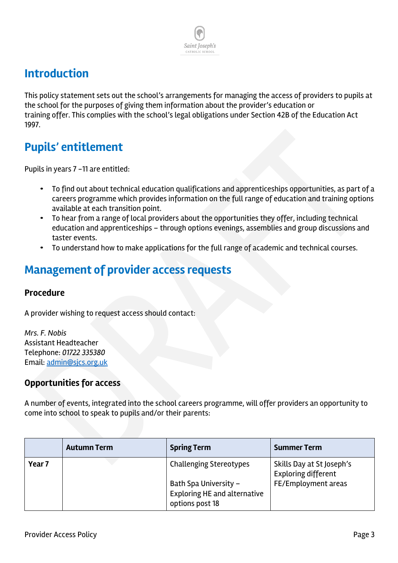### **Introduction**

This policy statement sets out the school's arrangements for managing the access of providers to pupils at the school for the purposes of giving them information about the provider's education or training offer. This complies with the school's legal obligations under Section 42B of the Education Act 1997.

Saint Ioseph's CATHOLIC SCI

# **Pupils' entitlement**

Pupils in years 7 -11 are entitled:

- To find out about technical education qualifications and apprenticeships opportunities, as part of a careers programme which provides information on the full range of education and training options available at each transition point.
- To hear from a range of local providers about the opportunities they offer, including technical education and apprenticeships – through options evenings, assemblies and group discussions and taster events.
- To understand how to make applications for the full range of academic and technical courses.

### **Management of provider access requests**

#### **Procedure**

A provider wishing to request access should contact:

*Mrs. F. Nobis* Assistant Headteacher Telephone: *01722 335380* Email: admin@sjcs.org.uk

### **Opportunities for access**

A number of events, integrated into the school careers programme, will offer providers an opportunity to come into school to speak to pupils and/or their parents:

|        | <b>Autumn Term</b> | <b>Spring Term</b>                                                       | <b>Summer Term</b>                                      |
|--------|--------------------|--------------------------------------------------------------------------|---------------------------------------------------------|
| Year 7 |                    | <b>Challenging Stereotypes</b>                                           | Skills Day at St Joseph's<br><b>Exploring different</b> |
|        |                    | Bath Spa University -<br>Exploring HE and alternative<br>options post 18 | FE/Employment areas                                     |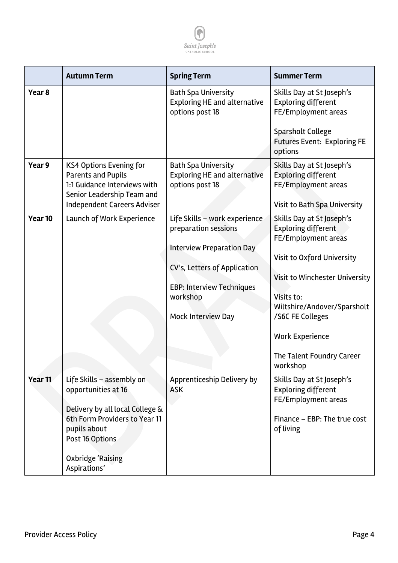

|                    | <b>Autumn Term</b>                                                                                                                                                                                  | <b>Spring Term</b>                                                                                                                                                                                     | <b>Summer Term</b>                                                                                                                                                                                                                                                                        |
|--------------------|-----------------------------------------------------------------------------------------------------------------------------------------------------------------------------------------------------|--------------------------------------------------------------------------------------------------------------------------------------------------------------------------------------------------------|-------------------------------------------------------------------------------------------------------------------------------------------------------------------------------------------------------------------------------------------------------------------------------------------|
| Year 8             |                                                                                                                                                                                                     | <b>Bath Spa University</b><br><b>Exploring HE and alternative</b><br>options post 18                                                                                                                   | Skills Day at St Joseph's<br><b>Exploring different</b><br>FE/Employment areas                                                                                                                                                                                                            |
|                    |                                                                                                                                                                                                     |                                                                                                                                                                                                        | <b>Sparsholt College</b><br><b>Futures Event: Exploring FE</b><br>options                                                                                                                                                                                                                 |
| Year 9             | <b>KS4 Options Evening for</b><br><b>Parents and Pupils</b><br>1:1 Guidance Interviews with<br>Senior Leadership Team and<br><b>Independent Careers Adviser</b>                                     | <b>Bath Spa University</b><br><b>Exploring HE and alternative</b><br>options post 18                                                                                                                   | Skills Day at St Joseph's<br><b>Exploring different</b><br>FE/Employment areas<br>Visit to Bath Spa University                                                                                                                                                                            |
| Year 10            | Launch of Work Experience                                                                                                                                                                           | Life Skills - work experience<br>preparation sessions<br><b>Interview Preparation Day</b><br>CV's, Letters of Application<br><b>EBP: Interview Techniques</b><br>workshop<br><b>Mock Interview Day</b> | Skills Day at St Joseph's<br><b>Exploring different</b><br>FE/Employment areas<br><b>Visit to Oxford University</b><br>Visit to Winchester University<br>Visits to:<br>Wiltshire/Andover/Sparsholt<br>/S6C FE Colleges<br><b>Work Experience</b><br>The Talent Foundry Career<br>workshop |
| Year <sub>11</sub> | Life Skills - assembly on<br>opportunities at 16<br>Delivery by all local College &<br>6th Form Providers to Year 11<br>pupils about<br>Post 16 Options<br><b>Oxbridge 'Raising</b><br>Aspirations' | Apprenticeship Delivery by<br><b>ASK</b>                                                                                                                                                               | Skills Day at St Joseph's<br><b>Exploring different</b><br>FE/Employment areas<br>Finance - EBP: The true cost<br>of living                                                                                                                                                               |